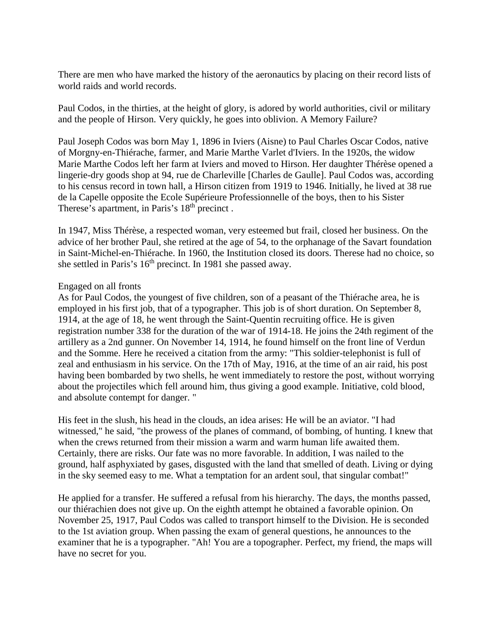There are men who have marked the history of the aeronautics by placing on their record lists of world raids and world records.

Paul Codos, in the thirties, at the height of glory, is adored by world authorities, civil or military and the people of Hirson. Very quickly, he goes into oblivion. A Memory Failure?

Paul Joseph Codos was born May 1, 1896 in Iviers (Aisne) to Paul Charles Oscar Codos, native of Morgny-en-Thiérache, farmer, and Marie Marthe Varlet d'Iviers. In the 1920s, the widow Marie Marthe Codos left her farm at Iviers and moved to Hirson. Her daughter Thérèse opened a lingerie-dry goods shop at 94, rue de Charleville [Charles de Gaulle]. Paul Codos was, according to his census record in town hall, a Hirson citizen from 1919 to 1946. Initially, he lived at 38 rue de la Capelle opposite the Ecole Supérieure Professionnelle of the boys, then to his Sister Therese's apartment, in Paris's  $18<sup>th</sup>$  precinct.

In 1947, Miss Thérèse, a respected woman, very esteemed but frail, closed her business. On the advice of her brother Paul, she retired at the age of 54, to the orphanage of the Savart foundation in Saint-Michel-en-Thiérache. In 1960, the Institution closed its doors. Therese had no choice, so she settled in Paris's 16<sup>th</sup> precinct. In 1981 she passed away.

#### Engaged on all fronts

As for Paul Codos, the youngest of five children, son of a peasant of the Thiérache area, he is employed in his first job, that of a typographer. This job is of short duration. On September 8, 1914, at the age of 18, he went through the Saint-Quentin recruiting office. He is given registration number 338 for the duration of the war of 1914-18. He joins the 24th regiment of the artillery as a 2nd gunner. On November 14, 1914, he found himself on the front line of Verdun and the Somme. Here he received a citation from the army: "This soldier-telephonist is full of zeal and enthusiasm in his service. On the 17th of May, 1916, at the time of an air raid, his post having been bombarded by two shells, he went immediately to restore the post, without worrying about the projectiles which fell around him, thus giving a good example. Initiative, cold blood, and absolute contempt for danger. "

His feet in the slush, his head in the clouds, an idea arises: He will be an aviator. "I had witnessed," he said, "the prowess of the planes of command, of bombing, of hunting. I knew that when the crews returned from their mission a warm and warm human life awaited them. Certainly, there are risks. Our fate was no more favorable. In addition, I was nailed to the ground, half asphyxiated by gases, disgusted with the land that smelled of death. Living or dying in the sky seemed easy to me. What a temptation for an ardent soul, that singular combat!"

He applied for a transfer. He suffered a refusal from his hierarchy. The days, the months passed, our thiérachien does not give up. On the eighth attempt he obtained a favorable opinion. On November 25, 1917, Paul Codos was called to transport himself to the Division. He is seconded to the 1st aviation group. When passing the exam of general questions, he announces to the examiner that he is a typographer. "Ah! You are a topographer. Perfect, my friend, the maps will have no secret for you.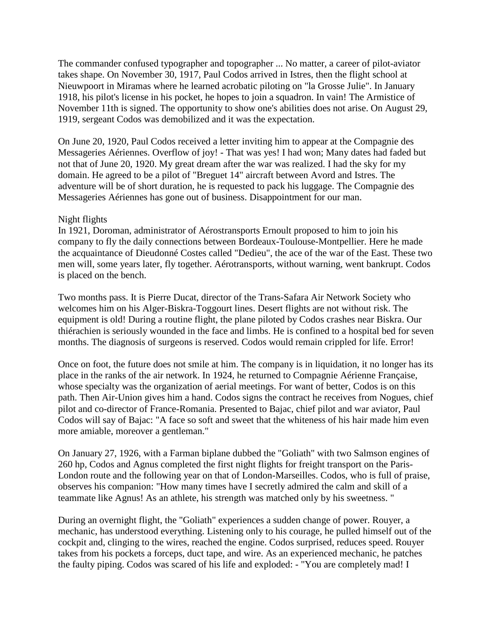The commander confused typographer and topographer ... No matter, a career of pilot-aviator takes shape. On November 30, 1917, Paul Codos arrived in Istres, then the flight school at Nieuwpoort in Miramas where he learned acrobatic piloting on "la Grosse Julie". In January 1918, his pilot's license in his pocket, he hopes to join a squadron. In vain! The Armistice of November 11th is signed. The opportunity to show one's abilities does not arise. On August 29, 1919, sergeant Codos was demobilized and it was the expectation.

On June 20, 1920, Paul Codos received a letter inviting him to appear at the Compagnie des Messageries Aériennes. Overflow of joy! - That was yes! I had won; Many dates had faded but not that of June 20, 1920. My great dream after the war was realized. I had the sky for my domain. He agreed to be a pilot of "Breguet 14" aircraft between Avord and Istres. The adventure will be of short duration, he is requested to pack his luggage. The Compagnie des Messageries Aériennes has gone out of business. Disappointment for our man.

## Night flights

In 1921, Doroman, administrator of Aérostransports Ernoult proposed to him to join his company to fly the daily connections between Bordeaux-Toulouse-Montpellier. Here he made the acquaintance of Dieudonné Costes called "Dedieu", the ace of the war of the East. These two men will, some years later, fly together. Aérotransports, without warning, went bankrupt. Codos is placed on the bench.

Two months pass. It is Pierre Ducat, director of the Trans-Safara Air Network Society who welcomes him on his Alger-Biskra-Toggourt lines. Desert flights are not without risk. The equipment is old! During a routine flight, the plane piloted by Codos crashes near Biskra. Our thiérachien is seriously wounded in the face and limbs. He is confined to a hospital bed for seven months. The diagnosis of surgeons is reserved. Codos would remain crippled for life. Error!

Once on foot, the future does not smile at him. The company is in liquidation, it no longer has its place in the ranks of the air network. In 1924, he returned to Compagnie Aérienne Française, whose specialty was the organization of aerial meetings. For want of better, Codos is on this path. Then Air-Union gives him a hand. Codos signs the contract he receives from Nogues, chief pilot and co-director of France-Romania. Presented to Bajac, chief pilot and war aviator, Paul Codos will say of Bajac: "A face so soft and sweet that the whiteness of his hair made him even more amiable, moreover a gentleman."

On January 27, 1926, with a Farman biplane dubbed the "Goliath" with two Salmson engines of 260 hp, Codos and Agnus completed the first night flights for freight transport on the Paris-London route and the following year on that of London-Marseilles. Codos, who is full of praise, observes his companion: "How many times have I secretly admired the calm and skill of a teammate like Agnus! As an athlete, his strength was matched only by his sweetness. "

During an overnight flight, the "Goliath" experiences a sudden change of power. Rouyer, a mechanic, has understood everything. Listening only to his courage, he pulled himself out of the cockpit and, clinging to the wires, reached the engine. Codos surprised, reduces speed. Rouyer takes from his pockets a forceps, duct tape, and wire. As an experienced mechanic, he patches the faulty piping. Codos was scared of his life and exploded: - "You are completely mad! I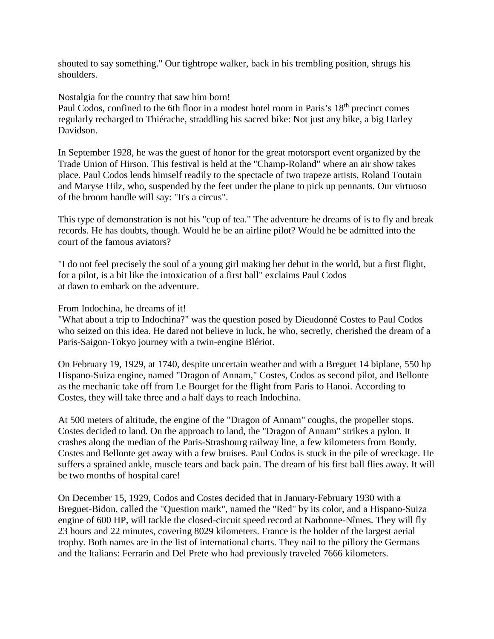shouted to say something." Our tightrope walker, back in his trembling position, shrugs his shoulders.

Nostalgia for the country that saw him born! Paul Codos, confined to the 6th floor in a modest hotel room in Paris's 18<sup>th</sup> precinct comes regularly recharged to Thiérache, straddling his sacred bike: Not just any bike, a big Harley Davidson.

In September 1928, he was the guest of honor for the great motorsport event organized by the Trade Union of Hirson. This festival is held at the "Champ-Roland" where an air show takes place. Paul Codos lends himself readily to the spectacle of two trapeze artists, Roland Toutain and Maryse Hilz, who, suspended by the feet under the plane to pick up pennants. Our virtuoso of the broom handle will say: "It's a circus".

This type of demonstration is not his "cup of tea." The adventure he dreams of is to fly and break records. He has doubts, though. Would he be an airline pilot? Would he be admitted into the court of the famous aviators?

"I do not feel precisely the soul of a young girl making her debut in the world, but a first flight, for a pilot, is a bit like the intoxication of a first ball" exclaims Paul Codos at dawn to embark on the adventure.

# From Indochina, he dreams of it!

"What about a trip to Indochina?" was the question posed by Dieudonné Costes to Paul Codos who seized on this idea. He dared not believe in luck, he who, secretly, cherished the dream of a Paris-Saigon-Tokyo journey with a twin-engine Blériot.

On February 19, 1929, at 1740, despite uncertain weather and with a Breguet 14 biplane, 550 hp Hispano-Suiza engine, named "Dragon of Annam," Costes, Codos as second pilot, and Bellonte as the mechanic take off from Le Bourget for the flight from Paris to Hanoi. According to Costes, they will take three and a half days to reach Indochina.

At 500 meters of altitude, the engine of the "Dragon of Annam" coughs, the propeller stops. Costes decided to land. On the approach to land, the "Dragon of Annam" strikes a pylon. It crashes along the median of the Paris-Strasbourg railway line, a few kilometers from Bondy. Costes and Bellonte get away with a few bruises. Paul Codos is stuck in the pile of wreckage. He suffers a sprained ankle, muscle tears and back pain. The dream of his first ball flies away. It will be two months of hospital care!

On December 15, 1929, Codos and Costes decided that in January-February 1930 with a Breguet-Bidon, called the "Question mark", named the "Red" by its color, and a Hispano-Suiza engine of 600 HP, will tackle the closed-circuit speed record at Narbonne-Nîmes. They will fly 23 hours and 22 minutes, covering 8029 kilometers. France is the holder of the largest aerial trophy. Both names are in the list of international charts. They nail to the pillory the Germans and the Italians: Ferrarin and Del Prete who had previously traveled 7666 kilometers.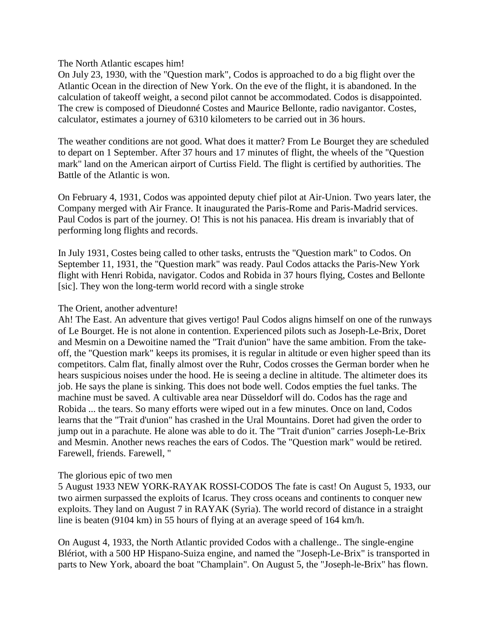The North Atlantic escapes him!

On July 23, 1930, with the "Question mark", Codos is approached to do a big flight over the Atlantic Ocean in the direction of New York. On the eve of the flight, it is abandoned. In the calculation of takeoff weight, a second pilot cannot be accommodated. Codos is disappointed. The crew is composed of Dieudonné Costes and Maurice Bellonte, radio navigantor. Costes, calculator, estimates a journey of 6310 kilometers to be carried out in 36 hours.

The weather conditions are not good. What does it matter? From Le Bourget they are scheduled to depart on 1 September. After 37 hours and 17 minutes of flight, the wheels of the "Question mark" land on the American airport of Curtiss Field. The flight is certified by authorities. The Battle of the Atlantic is won.

On February 4, 1931, Codos was appointed deputy chief pilot at Air-Union. Two years later, the Company merged with Air France. It inaugurated the Paris-Rome and Paris-Madrid services. Paul Codos is part of the journey. O! This is not his panacea. His dream is invariably that of performing long flights and records.

In July 1931, Costes being called to other tasks, entrusts the "Question mark" to Codos. On September 11, 1931, the "Question mark" was ready. Paul Codos attacks the Paris-New York flight with Henri Robida, navigator. Codos and Robida in 37 hours flying, Costes and Bellonte [sic]. They won the long-term world record with a single stroke

#### The Orient, another adventure!

Ah! The East. An adventure that gives vertigo! Paul Codos aligns himself on one of the runways of Le Bourget. He is not alone in contention. Experienced pilots such as Joseph-Le-Brix, Doret and Mesmin on a Dewoitine named the "Trait d'union" have the same ambition. From the takeoff, the "Question mark" keeps its promises, it is regular in altitude or even higher speed than its competitors. Calm flat, finally almost over the Ruhr, Codos crosses the German border when he hears suspicious noises under the hood. He is seeing a decline in altitude. The altimeter does its job. He says the plane is sinking. This does not bode well. Codos empties the fuel tanks. The machine must be saved. A cultivable area near Düsseldorf will do. Codos has the rage and Robida ... the tears. So many efforts were wiped out in a few minutes. Once on land, Codos learns that the "Trait d'union" has crashed in the Ural Mountains. Doret had given the order to jump out in a parachute. He alone was able to do it. The "Trait d'union" carries Joseph-Le-Brix and Mesmin. Another news reaches the ears of Codos. The "Question mark" would be retired. Farewell, friends. Farewell, "

## The glorious epic of two men

5 August 1933 NEW YORK-RAYAK ROSSI-CODOS The fate is cast! On August 5, 1933, our two airmen surpassed the exploits of Icarus. They cross oceans and continents to conquer new exploits. They land on August 7 in RAYAK (Syria). The world record of distance in a straight line is beaten (9104 km) in 55 hours of flying at an average speed of 164 km/h.

On August 4, 1933, the North Atlantic provided Codos with a challenge.. The single-engine Blériot, with a 500 HP Hispano-Suiza engine, and named the "Joseph-Le-Brix" is transported in parts to New York, aboard the boat "Champlain". On August 5, the "Joseph-le-Brix" has flown.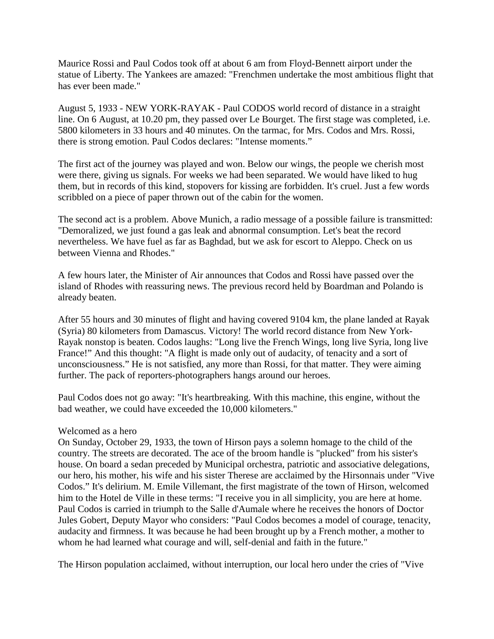Maurice Rossi and Paul Codos took off at about 6 am from Floyd-Bennett airport under the statue of Liberty. The Yankees are amazed: "Frenchmen undertake the most ambitious flight that has ever been made."

August 5, 1933 - NEW YORK-RAYAK - Paul CODOS world record of distance in a straight line. On 6 August, at 10.20 pm, they passed over Le Bourget. The first stage was completed, i.e. 5800 kilometers in 33 hours and 40 minutes. On the tarmac, for Mrs. Codos and Mrs. Rossi, there is strong emotion. Paul Codos declares: "Intense moments."

The first act of the journey was played and won. Below our wings, the people we cherish most were there, giving us signals. For weeks we had been separated. We would have liked to hug them, but in records of this kind, stopovers for kissing are forbidden. It's cruel. Just a few words scribbled on a piece of paper thrown out of the cabin for the women.

The second act is a problem. Above Munich, a radio message of a possible failure is transmitted: "Demoralized, we just found a gas leak and abnormal consumption. Let's beat the record nevertheless. We have fuel as far as Baghdad, but we ask for escort to Aleppo. Check on us between Vienna and Rhodes."

A few hours later, the Minister of Air announces that Codos and Rossi have passed over the island of Rhodes with reassuring news. The previous record held by Boardman and Polando is already beaten.

After 55 hours and 30 minutes of flight and having covered 9104 km, the plane landed at Rayak (Syria) 80 kilometers from Damascus. Victory! The world record distance from New York-Rayak nonstop is beaten. Codos laughs: "Long live the French Wings, long live Syria, long live France!" And this thought: "A flight is made only out of audacity, of tenacity and a sort of unconsciousness." He is not satisfied, any more than Rossi, for that matter. They were aiming further. The pack of reporters-photographers hangs around our heroes.

Paul Codos does not go away: "It's heartbreaking. With this machine, this engine, without the bad weather, we could have exceeded the 10,000 kilometers."

#### Welcomed as a hero

On Sunday, October 29, 1933, the town of Hirson pays a solemn homage to the child of the country. The streets are decorated. The ace of the broom handle is "plucked" from his sister's house. On board a sedan preceded by Municipal orchestra, patriotic and associative delegations, our hero, his mother, his wife and his sister Therese are acclaimed by the Hirsonnais under "Vive Codos." It's delirium. M. Emile Villemant, the first magistrate of the town of Hirson, welcomed him to the Hotel de Ville in these terms: "I receive you in all simplicity, you are here at home. Paul Codos is carried in triumph to the Salle d'Aumale where he receives the honors of Doctor Jules Gobert, Deputy Mayor who considers: "Paul Codos becomes a model of courage, tenacity, audacity and firmness. It was because he had been brought up by a French mother, a mother to whom he had learned what courage and will, self-denial and faith in the future."

The Hirson population acclaimed, without interruption, our local hero under the cries of "Vive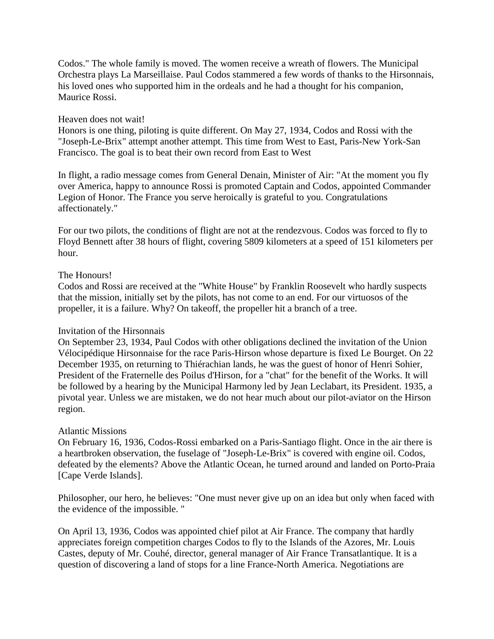Codos." The whole family is moved. The women receive a wreath of flowers. The Municipal Orchestra plays La Marseillaise. Paul Codos stammered a few words of thanks to the Hirsonnais, his loved ones who supported him in the ordeals and he had a thought for his companion, Maurice Rossi.

## Heaven does not wait!

Honors is one thing, piloting is quite different. On May 27, 1934, Codos and Rossi with the "Joseph-Le-Brix" attempt another attempt. This time from West to East, Paris-New York-San Francisco. The goal is to beat their own record from East to West

In flight, a radio message comes from General Denain, Minister of Air: "At the moment you fly over America, happy to announce Rossi is promoted Captain and Codos, appointed Commander Legion of Honor. The France you serve heroically is grateful to you. Congratulations affectionately."

For our two pilots, the conditions of flight are not at the rendezvous. Codos was forced to fly to Floyd Bennett after 38 hours of flight, covering 5809 kilometers at a speed of 151 kilometers per hour.

# The Honours!

Codos and Rossi are received at the "White House" by Franklin Roosevelt who hardly suspects that the mission, initially set by the pilots, has not come to an end. For our virtuosos of the propeller, it is a failure. Why? On takeoff, the propeller hit a branch of a tree.

## Invitation of the Hirsonnais

On September 23, 1934, Paul Codos with other obligations declined the invitation of the Union Vélocipédique Hirsonnaise for the race Paris-Hirson whose departure is fixed Le Bourget. On 22 December 1935, on returning to Thiérachian lands, he was the guest of honor of Henri Sohier, President of the Fraternelle des Poilus d'Hirson, for a "chat" for the benefit of the Works. It will be followed by a hearing by the Municipal Harmony led by Jean Leclabart, its President. 1935, a pivotal year. Unless we are mistaken, we do not hear much about our pilot-aviator on the Hirson region.

## Atlantic Missions

On February 16, 1936, Codos-Rossi embarked on a Paris-Santiago flight. Once in the air there is a heartbroken observation, the fuselage of "Joseph-Le-Brix" is covered with engine oil. Codos, defeated by the elements? Above the Atlantic Ocean, he turned around and landed on Porto-Praia [Cape Verde Islands].

Philosopher, our hero, he believes: "One must never give up on an idea but only when faced with the evidence of the impossible. "

On April 13, 1936, Codos was appointed chief pilot at Air France. The company that hardly appreciates foreign competition charges Codos to fly to the Islands of the Azores, Mr. Louis Castes, deputy of Mr. Couhé, director, general manager of Air France Transatlantique. It is a question of discovering a land of stops for a line France-North America. Negotiations are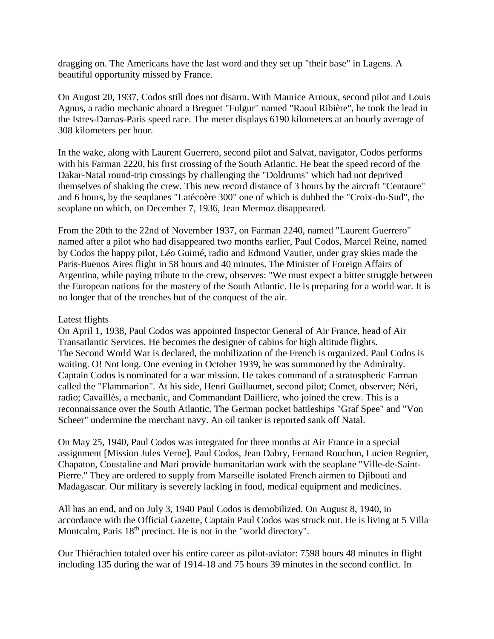dragging on. The Americans have the last word and they set up "their base" in Lagens. A beautiful opportunity missed by France.

On August 20, 1937, Codos still does not disarm. With Maurice Arnoux, second pilot and Louis Agnus, a radio mechanic aboard a Breguet "Fulgur" named "Raoul Ribière", he took the lead in the Istres-Damas-Paris speed race. The meter displays 6190 kilometers at an hourly average of 308 kilometers per hour.

In the wake, along with Laurent Guerrero, second pilot and Salvat, navigator, Codos performs with his Farman 2220, his first crossing of the South Atlantic. He beat the speed record of the Dakar-Natal round-trip crossings by challenging the "Doldrums" which had not deprived themselves of shaking the crew. This new record distance of 3 hours by the aircraft "Centaure" and 6 hours, by the seaplanes "Latécoère 300" one of which is dubbed the "Croix-du-Sud", the seaplane on which, on December 7, 1936, Jean Mermoz disappeared.

From the 20th to the 22nd of November 1937, on Farman 2240, named "Laurent Guerrero" named after a pilot who had disappeared two months earlier, Paul Codos, Marcel Reine, named by Codos the happy pilot, Léo Guimé, radio and Edmond Vautier, under gray skies made the Paris-Buenos Aires flight in 58 hours and 40 minutes. The Minister of Foreign Affairs of Argentina, while paying tribute to the crew, observes: "We must expect a bitter struggle between the European nations for the mastery of the South Atlantic. He is preparing for a world war. It is no longer that of the trenches but of the conquest of the air.

### Latest flights

On April 1, 1938, Paul Codos was appointed Inspector General of Air France, head of Air Transatlantic Services. He becomes the designer of cabins for high altitude flights. The Second World War is declared, the mobilization of the French is organized. Paul Codos is waiting. O! Not long. One evening in October 1939, he was summoned by the Admiralty. Captain Codos is nominated for a war mission. He takes command of a stratospheric Farman called the "Flammarion". At his side, Henri Guillaumet, second pilot; Comet, observer; Néri, radio; Cavaillès, a mechanic, and Commandant Dailliere, who joined the crew. This is a reconnaissance over the South Atlantic. The German pocket battleships "Graf Spee" and "Von Scheer" undermine the merchant navy. An oil tanker is reported sank off Natal.

On May 25, 1940, Paul Codos was integrated for three months at Air France in a special assignment [Mission Jules Verne]. Paul Codos, Jean Dabry, Fernand Rouchon, Lucien Regnier, Chapaton, Coustaline and Mari provide humanitarian work with the seaplane "Ville-de-Saint-Pierre." They are ordered to supply from Marseille isolated French airmen to Djibouti and Madagascar. Our military is severely lacking in food, medical equipment and medicines.

All has an end, and on July 3, 1940 Paul Codos is demobilized. On August 8, 1940, in accordance with the Official Gazette, Captain Paul Codos was struck out. He is living at 5 Villa Montcalm, Paris  $18<sup>th</sup>$  precinct. He is not in the "world directory".

Our Thiérachien totaled over his entire career as pilot-aviator: 7598 hours 48 minutes in flight including 135 during the war of 1914-18 and 75 hours 39 minutes in the second conflict. In